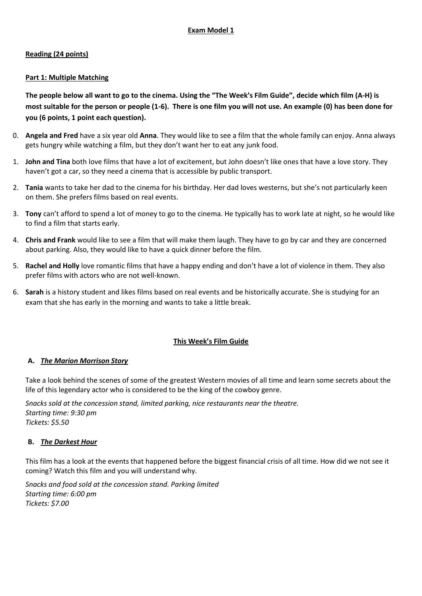# **Reading (24 points)**

# **Part 1: Multiple Matching**

**The people below all want to go to the cinema. Using the "The Week's Film Guide", decide which film (A-H) is most suitable for the person or people (1-6). There is one film you will not use. An example (0) has been done for you (6 points, 1 point each question).**

- 0. **Angela and Fred** have a six year old **Anna**. They would like to see a film that the whole family can enjoy. Anna always gets hungry while watching a film, but they don't want her to eat any junk food.
- 1. **John and Tina** both love films that have a lot of excitement, but John doesn't like ones that have a love story. They haven't got a car, so they need a cinema that is accessible by public transport.
- 2. **Tania** wants to take her dad to the cinema for his birthday. Her dad loves westerns, but she's not particularly keen on them. She prefers films based on real events.
- 3. **Tony** can't afford to spend a lot of money to go to the cinema. He typically has to work late at night, so he would like to find a film that starts early.
- 4. **Chris and Frank** would like to see a film that will make them laugh. They have to go by car and they are concerned about parking. Also, they would like to have a quick dinner before the film.
- 5. **Rachel and Holly** love romantic films that have a happy ending and don't have a lot of violence in them. They also prefer films with actors who are not well-known.
- 6. **Sarah** is a history student and likes films based on real events and be historically accurate. She is studying for an exam that she has early in the morning and wants to take a little break.

# **This Week's Film Guide**

# **A.** *The Marion Morrison Story*

Take a look behind the scenes of some of the greatest Western movies of all time and learn some secrets about the life of this legendary actor who is considered to be the king of the cowboy genre.

*Snacks sold at the concession stand, limited parking, nice restaurants near the theatre. Starting time: 9:30 pm Tickets: \$5.50*

# **B.** *The Darkest Hour*

This film has a look at the events that happened before the biggest financial crisis of all time. How did we not see it coming? Watch this film and you will understand why.

*Snacks and food sold at the concession stand. Parking limited Starting time: 6:00 pm Tickets: \$7.00*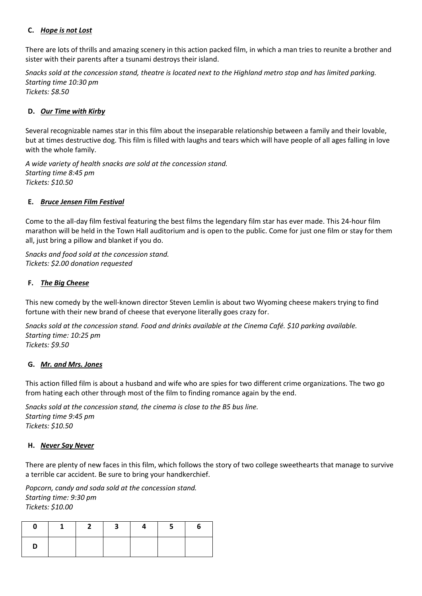# **C.** *Hope is not Lost*

There are lots of thrills and amazing scenery in this action packed film, in which a man tries to reunite a brother and sister with their parents after a tsunami destroys their island.

*Snacks sold at the concession stand, theatre is located next to the Highland metro stop and has limited parking. Starting time 10:30 pm*

*Tickets: \$8.50*

## **D.** *Our Time with Kirby*

Several recognizable names star in this film about the inseparable relationship between a family and their lovable, but at times destructive dog. This film is filled with laughs and tears which will have people of all ages falling in love with the whole family.

*A wide variety of health snacks are sold at the concession stand. Starting time 8:45 pm Tickets: \$10.50*

## **E.** *Bruce Jensen Film Festival*

Come to the all-day film festival featuring the best films the legendary film star has ever made. This 24-hour film marathon will be held in the Town Hall auditorium and is open to the public. Come for just one film or stay for them all, just bring a pillow and blanket if you do.

*Snacks and food sold at the concession stand. Tickets: \$2.00 donation requested*

## **F.** *The Big Cheese*

This new comedy by the well-known director Steven Lemlin is about two Wyoming cheese makers trying to find fortune with their new brand of cheese that everyone literally goes crazy for.

*Snacks sold at the concession stand. Food and drinks available at the Cinema Café. \$10 parking available. Starting time: 10:25 pm Tickets: \$9.50* 

# **G.** *Mr. and Mrs. Jones*

This action filled film is about a husband and wife who are spies for two different crime organizations. The two go from hating each other through most of the film to finding romance again by the end.

*Snacks sold at the concession stand, the cinema is close to the B5 bus line. Starting time 9:45 pm Tickets: \$10.50*

#### **H.** *Never Say Never*

There are plenty of new faces in this film, which follows the story of two college sweethearts that manage to survive a terrible car accident. Be sure to bring your handkerchief.

*Popcorn, candy and soda sold at the concession stand. Starting time: 9:30 pm Tickets: \$10.00* 

| $\mathbf{I}$ | $1 \mid 2 \mid$ | $\overline{\mathbf{3}}$ | $4 \mid 5 \mid$ | <b>b</b> |
|--------------|-----------------|-------------------------|-----------------|----------|
|              |                 |                         |                 |          |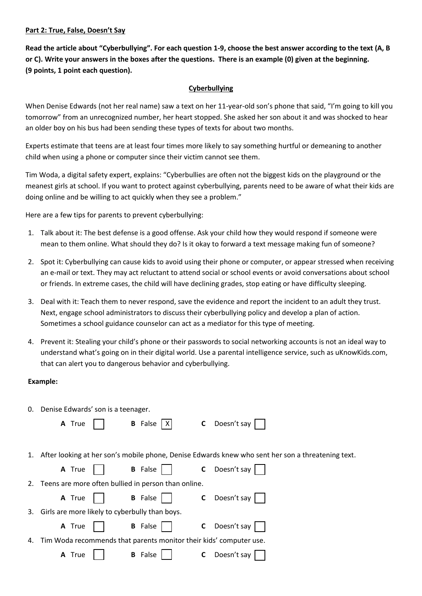#### **Part 2: True, False, Doesn't Say**

**Read the article about "Cyberbullying". For each question 1-9, choose the best answer according to the text (A, B or C). Write your answers in the boxes after the questions. There is an example (0) given at the beginning. (9 points, 1 point each question).**

## **Cyberbullying**

When Denise Edwards (not her real name) saw a text on her 11-year-old son's phone that said, "I'm going to kill you tomorrow" from an unrecognized number, her heart stopped. She asked her son about it and was shocked to hear an older boy on his bus had been sending these types of texts for about two months.

Experts estimate that teens are at least four times more likely to say something hurtful or demeaning to another child when using a phone or computer since their victim cannot see them.

Tim Woda, a digital safety expert, explains: "Cyberbullies are often not the biggest kids on the playground or the meanest girls at school. If you want to protect against cyberbullying, parents need to be aware of what their kids are doing online and be willing to act quickly when they see a problem."

Here are a few tips for parents to prevent cyberbullying:

- 1. Talk about it: The best defense is a good offense. Ask your child how they would respond if someone were mean to them online. What should they do? Is it okay to forward a text message making fun of someone?
- 2. Spot it: Cyberbullying can cause kids to avoid using their phone or computer, or appear stressed when receiving an e-mail or text. They may act reluctant to attend social or school events or avoid conversations about school or friends. In extreme cases, the child will have declining grades, stop eating or have difficulty sleeping.
- 3. Deal with it: Teach them to never respond, save the evidence and report the incident to an adult they trust. Next, engage school administrators to discuss their cyberbullying policy and develop a plan of action. Sometimes a school guidance counselor can act as a mediator for this type of meeting.
- 4. Prevent it: Stealing your child's phone or their passwords to social networking accounts is not an ideal way to understand what's going on in their digital world. Use a parental intelligence service, such as uKnowKids.com, that can alert you to dangerous behavior and cyberbullying.

#### **Example:**

| 0. | Denise Edwards' son is a teenager.                                 |                      |                                                                                                      |  |  |  |  |
|----|--------------------------------------------------------------------|----------------------|------------------------------------------------------------------------------------------------------|--|--|--|--|
|    | A True                                                             | <b>B</b> False $ X $ | Doesn't say<br>$\mathsf{C}$                                                                          |  |  |  |  |
|    |                                                                    |                      |                                                                                                      |  |  |  |  |
|    |                                                                    |                      | 1. After looking at her son's mobile phone, Denise Edwards knew who sent her son a threatening text. |  |  |  |  |
|    | A True                                                             | <b>B</b> False       | Doesn't say<br>$\mathsf{C}$                                                                          |  |  |  |  |
|    | 2. Teens are more often bullied in person than online.             |                      |                                                                                                      |  |  |  |  |
|    | A True                                                             | <b>B</b> False       | $\mathsf{C}$ Doesn't say                                                                             |  |  |  |  |
| 3. | Girls are more likely to cyberbully than boys.                     |                      |                                                                                                      |  |  |  |  |
|    | A True                                                             | <b>B</b> False       | Doesn't say<br>C                                                                                     |  |  |  |  |
| 4. | Tim Woda recommends that parents monitor their kids' computer use. |                      |                                                                                                      |  |  |  |  |
|    | A True                                                             | <b>B</b> False       | Doesn't say<br>C                                                                                     |  |  |  |  |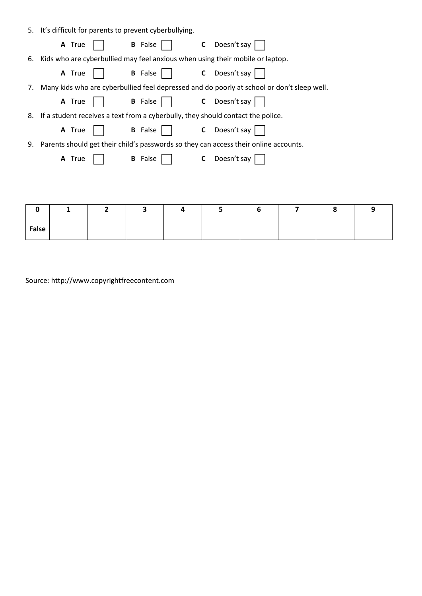|    | 5. It's difficult for parents to prevent cyberbullying.                                    |        |   |                              |   |                             |                                                                                 |   |   |   |
|----|--------------------------------------------------------------------------------------------|--------|---|------------------------------|---|-----------------------------|---------------------------------------------------------------------------------|---|---|---|
|    |                                                                                            | A True |   | <b>B</b> False               |   | Doesn't say<br>$\mathsf{C}$ |                                                                                 |   |   |   |
| 6. |                                                                                            |        |   |                              |   |                             | Kids who are cyberbullied may feel anxious when using their mobile or laptop.   |   |   |   |
|    |                                                                                            | A True |   | <b>B</b> False $\vert \vert$ |   | <b>C</b> Doesn't say        |                                                                                 |   |   |   |
| 7. | Many kids who are cyberbullied feel depressed and do poorly at school or don't sleep well. |        |   |                              |   |                             |                                                                                 |   |   |   |
|    |                                                                                            | A True |   | <b>B</b> False               |   | C Doesn't say               |                                                                                 |   |   |   |
| 8. |                                                                                            |        |   |                              |   |                             | If a student receives a text from a cyberbully, they should contact the police. |   |   |   |
|    |                                                                                            | A True |   | <b>B</b> False               |   | C Doesn't say               |                                                                                 |   |   |   |
| 9. | Parents should get their child's passwords so they can access their online accounts.       |        |   |                              |   |                             |                                                                                 |   |   |   |
|    |                                                                                            | A True |   | <b>B</b> False               |   | Doesn't say<br>C            |                                                                                 |   |   |   |
|    |                                                                                            |        |   |                              |   |                             |                                                                                 |   |   |   |
|    |                                                                                            |        |   |                              |   |                             |                                                                                 |   |   |   |
|    |                                                                                            |        |   |                              |   |                             |                                                                                 |   |   |   |
|    | 0                                                                                          | 1      | 2 | 3                            | 4 | 5                           | 6                                                                               | 7 | 8 | 9 |

Source: http://www.copyrightfreecontent.com

**False**